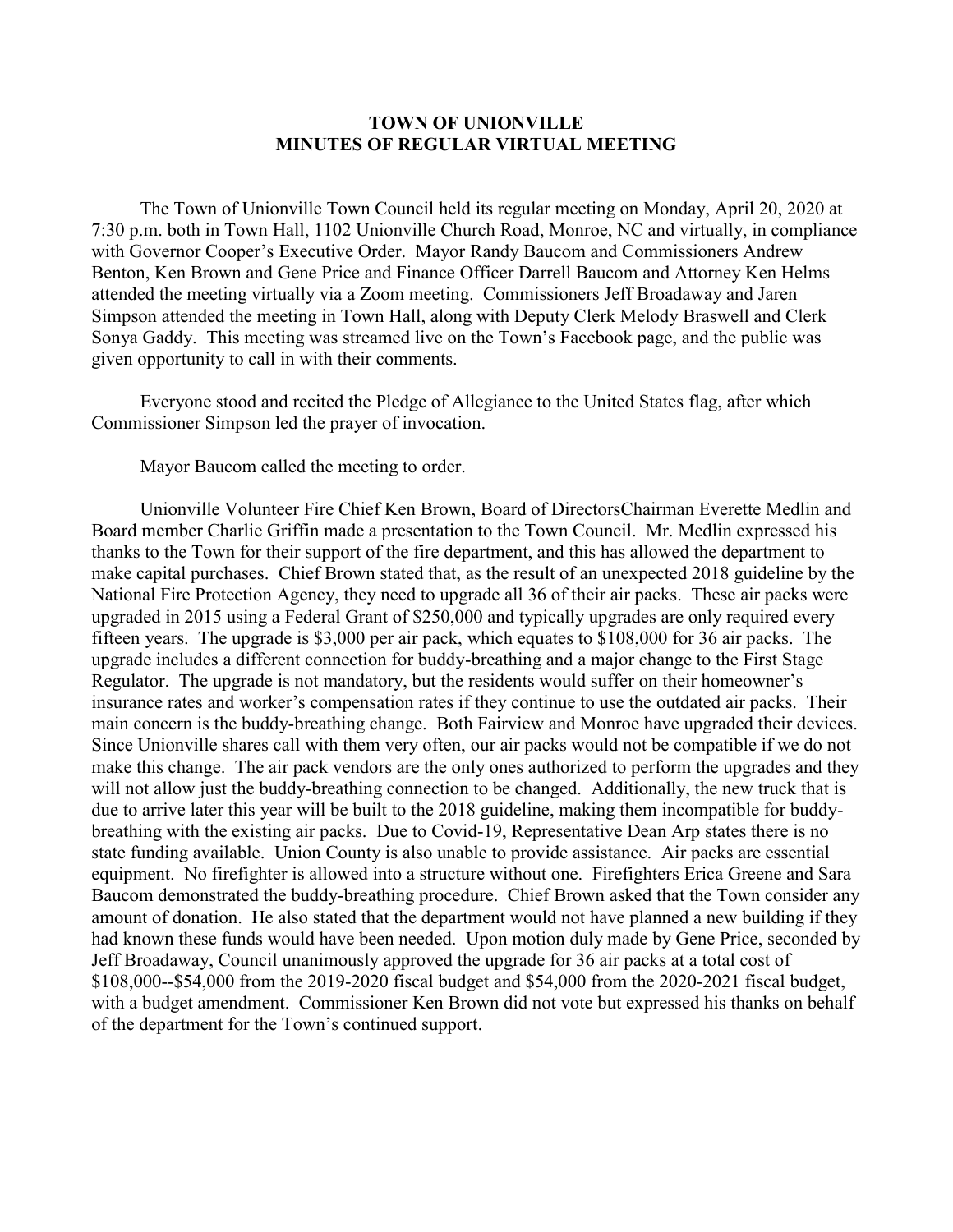## **TOWN OF UNIONVILLE MINUTES OF REGULAR VIRTUAL MEETING**

The Town of Unionville Town Council held its regular meeting on Monday, April 20, 2020 at 7:30 p.m. both in Town Hall, 1102 Unionville Church Road, Monroe, NC and virtually, in compliance with Governor Cooper's Executive Order. Mayor Randy Baucom and Commissioners Andrew Benton, Ken Brown and Gene Price and Finance Officer Darrell Baucom and Attorney Ken Helms attended the meeting virtually via a Zoom meeting. Commissioners Jeff Broadaway and Jaren Simpson attended the meeting in Town Hall, along with Deputy Clerk Melody Braswell and Clerk Sonya Gaddy. This meeting was streamed live on the Town's Facebook page, and the public was given opportunity to call in with their comments.

Everyone stood and recited the Pledge of Allegiance to the United States flag, after which Commissioner Simpson led the prayer of invocation.

Mayor Baucom called the meeting to order.

Unionville Volunteer Fire Chief Ken Brown, Board of DirectorsChairman Everette Medlin and Board member Charlie Griffin made a presentation to the Town Council. Mr. Medlin expressed his thanks to the Town for their support of the fire department, and this has allowed the department to make capital purchases. Chief Brown stated that, as the result of an unexpected 2018 guideline by the National Fire Protection Agency, they need to upgrade all 36 of their air packs. These air packs were upgraded in 2015 using a Federal Grant of \$250,000 and typically upgrades are only required every fifteen years. The upgrade is \$3,000 per air pack, which equates to \$108,000 for 36 air packs. The upgrade includes a different connection for buddy-breathing and a major change to the First Stage Regulator. The upgrade is not mandatory, but the residents would suffer on their homeowner's insurance rates and worker's compensation rates if they continue to use the outdated air packs. Their main concern is the buddy-breathing change. Both Fairview and Monroe have upgraded their devices. Since Unionville shares call with them very often, our air packs would not be compatible if we do not make this change. The air pack vendors are the only ones authorized to perform the upgrades and they will not allow just the buddy-breathing connection to be changed. Additionally, the new truck that is due to arrive later this year will be built to the 2018 guideline, making them incompatible for buddybreathing with the existing air packs. Due to Covid-19, Representative Dean Arp states there is no state funding available. Union County is also unable to provide assistance. Air packs are essential equipment. No firefighter is allowed into a structure without one. Firefighters Erica Greene and Sara Baucom demonstrated the buddy-breathing procedure. Chief Brown asked that the Town consider any amount of donation. He also stated that the department would not have planned a new building if they had known these funds would have been needed. Upon motion duly made by Gene Price, seconded by Jeff Broadaway, Council unanimously approved the upgrade for 36 air packs at a total cost of \$108,000--\$54,000 from the 2019-2020 fiscal budget and \$54,000 from the 2020-2021 fiscal budget, with a budget amendment. Commissioner Ken Brown did not vote but expressed his thanks on behalf of the department for the Town's continued support.